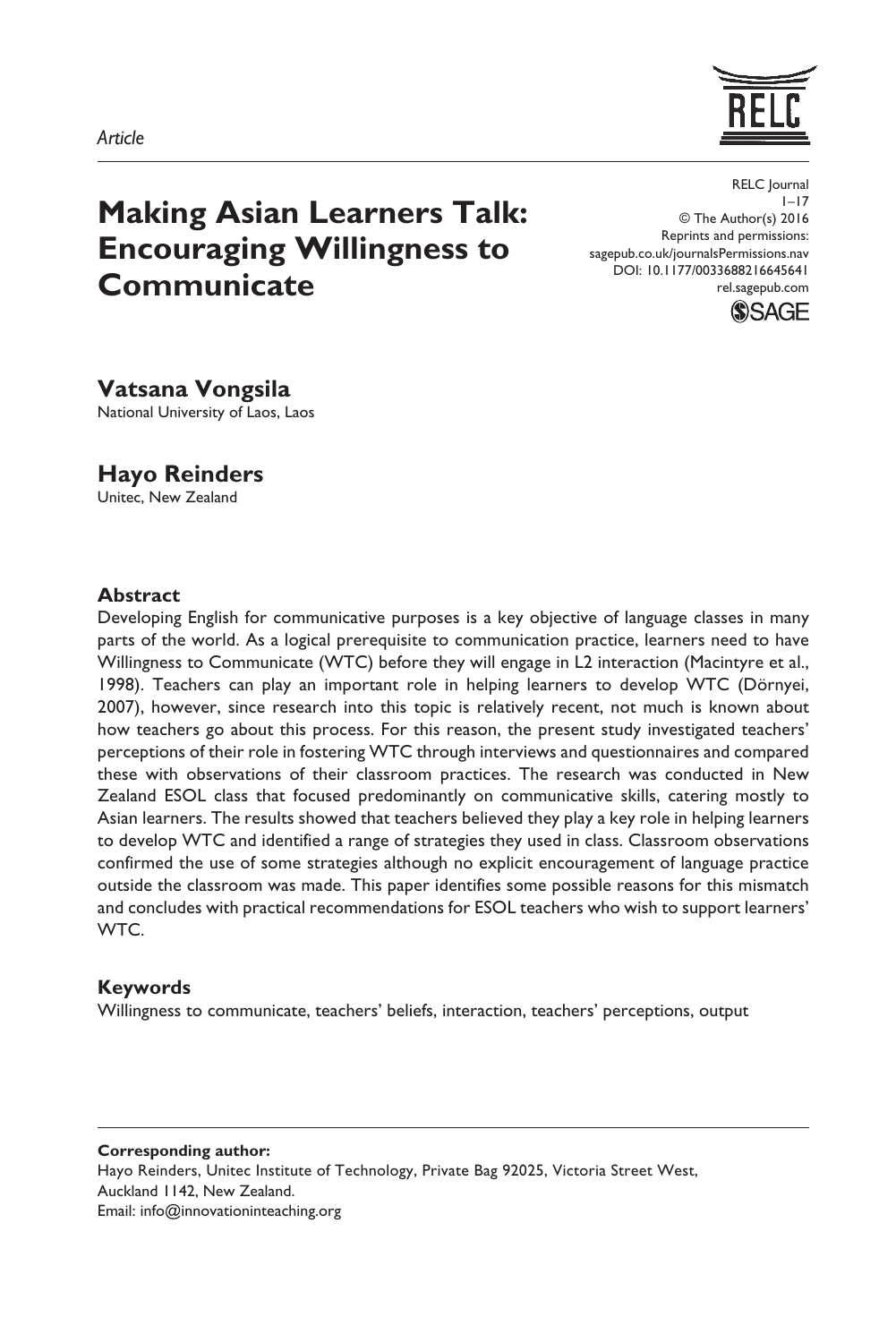

# **Making Asian Learners Talk: Encouraging Willingness to Communicate**

RELC Journal  $1 - 17$ © The Author(s) 2016 Reprints and permissions: sagepub.co.uk/journalsPermissions.nav DOI: 10.1177/0033688216645641 rel.sagepub.com



**Vatsana Vongsila**

National University of Laos, Laos

# **Hayo Reinders**

Unitec, New Zealand

## **Abstract**

Developing English for communicative purposes is a key objective of language classes in many parts of the world. As a logical prerequisite to communication practice, learners need to have Willingness to Communicate (WTC) before they will engage in L2 interaction (Macintyre et al., 1998). Teachers can play an important role in helping learners to develop WTC (Dörnyei, 2007), however, since research into this topic is relatively recent, not much is known about how teachers go about this process. For this reason, the present study investigated teachers' perceptions of their role in fostering WTC through interviews and questionnaires and compared these with observations of their classroom practices. The research was conducted in New Zealand ESOL class that focused predominantly on communicative skills, catering mostly to Asian learners. The results showed that teachers believed they play a key role in helping learners to develop WTC and identified a range of strategies they used in class. Classroom observations confirmed the use of some strategies although no explicit encouragement of language practice outside the classroom was made. This paper identifies some possible reasons for this mismatch and concludes with practical recommendations for ESOL teachers who wish to support learners' WTC.

## **Keywords**

Willingness to communicate, teachers' beliefs, interaction, teachers' perceptions, output

#### **Corresponding author:** Hayo Reinders, Unitec Institute of Technology, Private Bag 92025, Victoria Street West, Auckland 1142, New Zealand. Email: [info@innovationinteaching.org](mailto:info@innovationinteaching.org)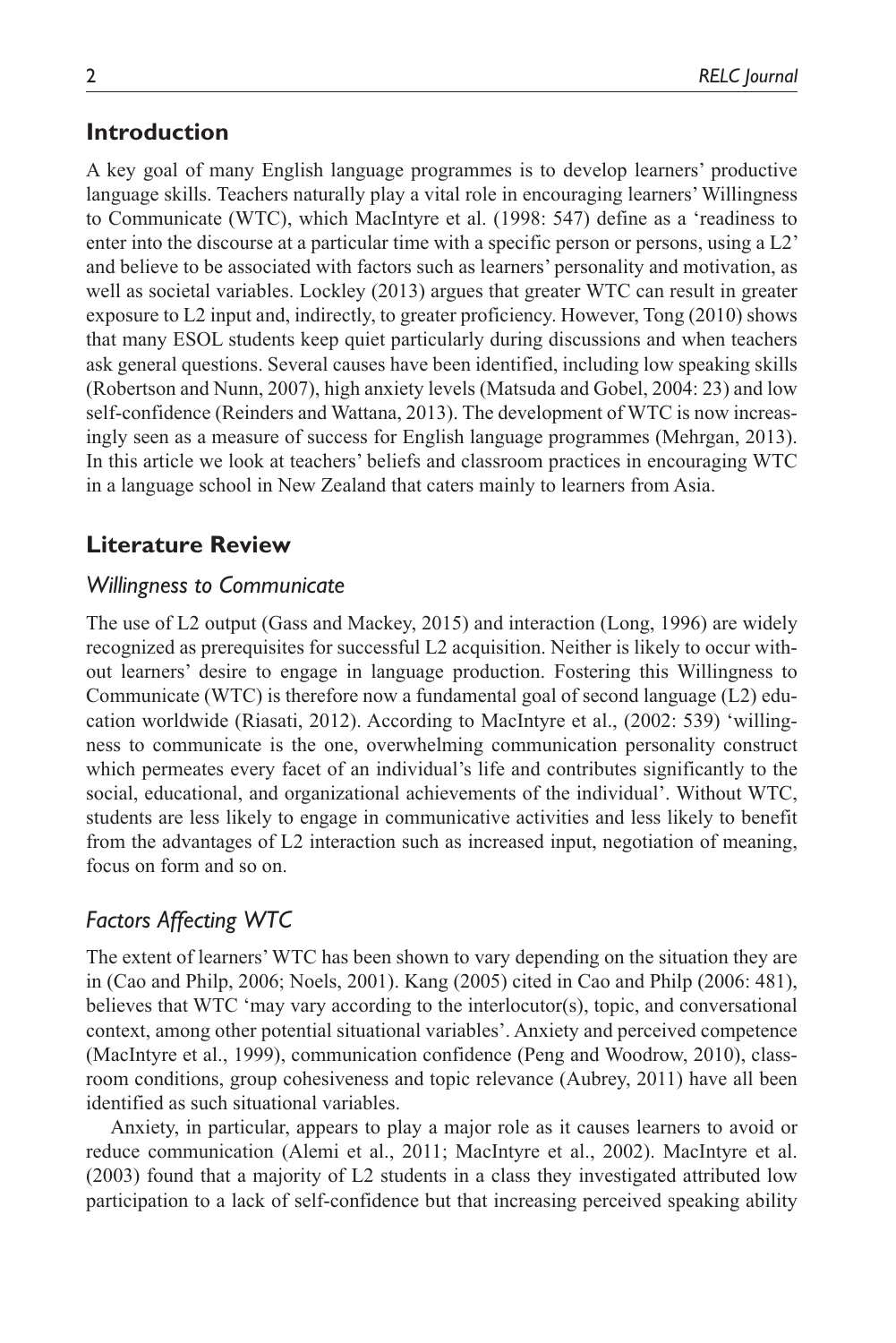# **Introduction**

A key goal of many English language programmes is to develop learners' productive language skills. Teachers naturally play a vital role in encouraging learners' Willingness to Communicate (WTC), which MacIntyre et al. (1998: 547) define as a 'readiness to enter into the discourse at a particular time with a specific person or persons, using a L2' and believe to be associated with factors such as learners' personality and motivation, as well as societal variables. Lockley (2013) argues that greater WTC can result in greater exposure to L2 input and, indirectly, to greater proficiency. However, Tong (2010) shows that many ESOL students keep quiet particularly during discussions and when teachers ask general questions. Several causes have been identified, including low speaking skills (Robertson and Nunn, 2007), high anxiety levels (Matsuda and Gobel, 2004: 23) and low self-confidence (Reinders and Wattana, 2013). The development of WTC is now increasingly seen as a measure of success for English language programmes (Mehrgan, 2013). In this article we look at teachers' beliefs and classroom practices in encouraging WTC in a language school in New Zealand that caters mainly to learners from Asia.

# **Literature Review**

# *Willingness to Communicate*

The use of L2 output (Gass and Mackey, 2015) and interaction (Long, 1996) are widely recognized as prerequisites for successful L2 acquisition. Neither is likely to occur without learners' desire to engage in language production. Fostering this Willingness to Communicate (WTC) is therefore now a fundamental goal of second language (L2) education worldwide (Riasati, 2012). According to MacIntyre et al., (2002: 539) 'willingness to communicate is the one, overwhelming communication personality construct which permeates every facet of an individual's life and contributes significantly to the social, educational, and organizational achievements of the individual'. Without WTC, students are less likely to engage in communicative activities and less likely to benefit from the advantages of L2 interaction such as increased input, negotiation of meaning, focus on form and so on.

# *Factors Affecting WTC*

The extent of learners' WTC has been shown to vary depending on the situation they are in (Cao and Philp, 2006; Noels, 2001). Kang (2005) cited in Cao and Philp (2006: 481), believes that WTC 'may vary according to the interlocutor(s), topic, and conversational context, among other potential situational variables'. Anxiety and perceived competence (MacIntyre et al., 1999), communication confidence (Peng and Woodrow, 2010), classroom conditions, group cohesiveness and topic relevance (Aubrey, 2011) have all been identified as such situational variables.

Anxiety, in particular, appears to play a major role as it causes learners to avoid or reduce communication (Alemi et al., 2011; MacIntyre et al., 2002). MacIntyre et al. (2003) found that a majority of L2 students in a class they investigated attributed low participation to a lack of self-confidence but that increasing perceived speaking ability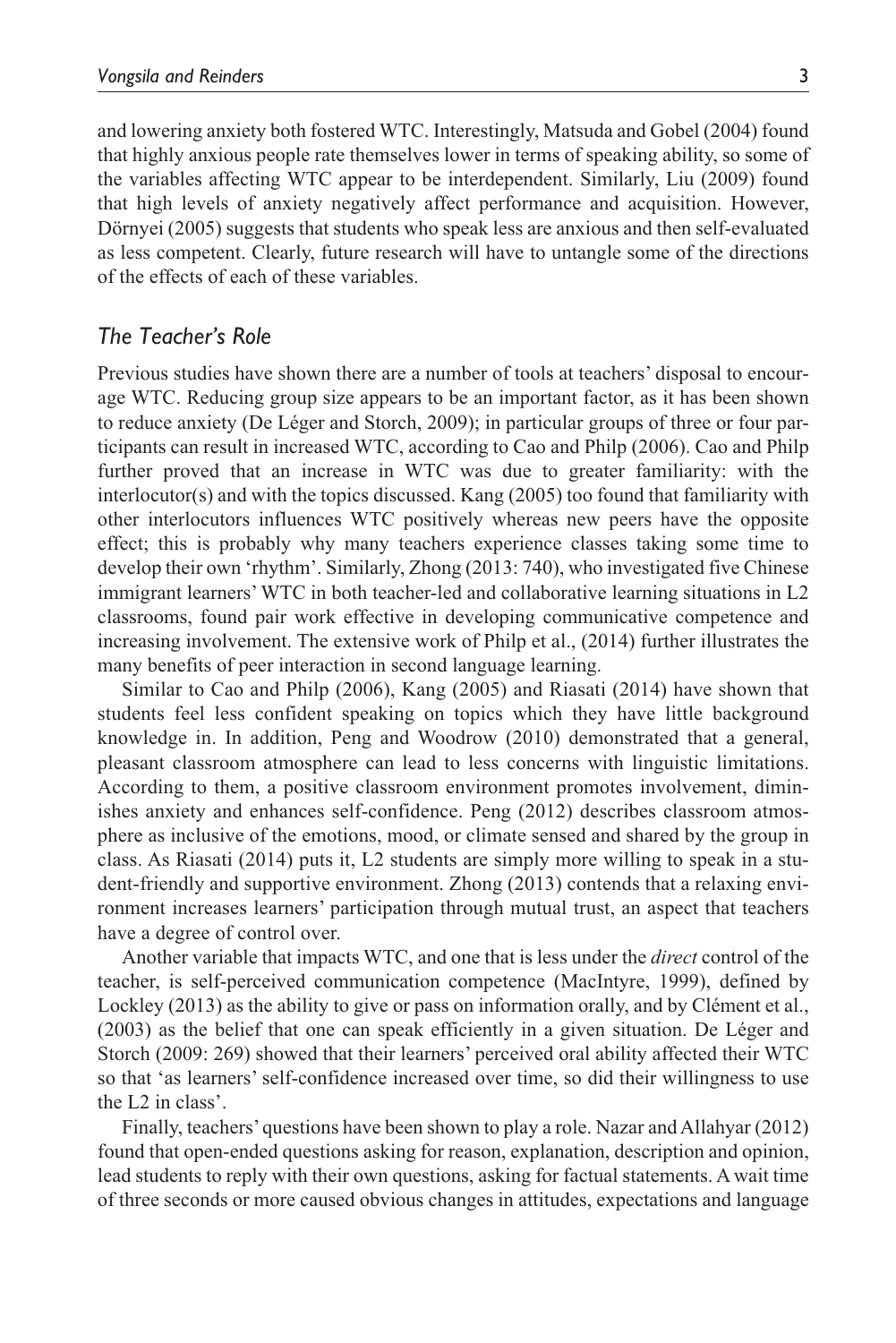and lowering anxiety both fostered WTC. Interestingly, Matsuda and Gobel (2004) found that highly anxious people rate themselves lower in terms of speaking ability, so some of the variables affecting WTC appear to be interdependent. Similarly, Liu (2009) found that high levels of anxiety negatively affect performance and acquisition. However, Dörnyei (2005) suggests that students who speak less are anxious and then self-evaluated as less competent. Clearly, future research will have to untangle some of the directions of the effects of each of these variables.

# *The Teacher's Role*

Previous studies have shown there are a number of tools at teachers' disposal to encourage WTC. Reducing group size appears to be an important factor, as it has been shown to reduce anxiety (De Léger and Storch, 2009); in particular groups of three or four participants can result in increased WTC, according to Cao and Philp (2006). Cao and Philp further proved that an increase in WTC was due to greater familiarity: with the interlocutor(s) and with the topics discussed. Kang (2005) too found that familiarity with other interlocutors influences WTC positively whereas new peers have the opposite effect; this is probably why many teachers experience classes taking some time to develop their own 'rhythm'. Similarly, Zhong (2013: 740), who investigated five Chinese immigrant learners' WTC in both teacher-led and collaborative learning situations in L2 classrooms, found pair work effective in developing communicative competence and increasing involvement. The extensive work of Philp et al., (2014) further illustrates the many benefits of peer interaction in second language learning.

Similar to Cao and Philp (2006), Kang (2005) and Riasati (2014) have shown that students feel less confident speaking on topics which they have little background knowledge in. In addition, Peng and Woodrow (2010) demonstrated that a general, pleasant classroom atmosphere can lead to less concerns with linguistic limitations. According to them, a positive classroom environment promotes involvement, diminishes anxiety and enhances self-confidence. Peng (2012) describes classroom atmosphere as inclusive of the emotions, mood, or climate sensed and shared by the group in class. As Riasati (2014) puts it, L2 students are simply more willing to speak in a student-friendly and supportive environment. Zhong (2013) contends that a relaxing environment increases learners' participation through mutual trust, an aspect that teachers have a degree of control over.

Another variable that impacts WTC, and one that is less under the *direct* control of the teacher, is self-perceived communication competence (MacIntyre, 1999), defined by Lockley (2013) as the ability to give or pass on information orally, and by Clément et al., (2003) as the belief that one can speak efficiently in a given situation. De Léger and Storch (2009: 269) showed that their learners' perceived oral ability affected their WTC so that 'as learners' self-confidence increased over time, so did their willingness to use the L2 in class'.

Finally, teachers' questions have been shown to play a role. Nazar and Allahyar (2012) found that open-ended questions asking for reason, explanation, description and opinion, lead students to reply with their own questions, asking for factual statements. A wait time of three seconds or more caused obvious changes in attitudes, expectations and language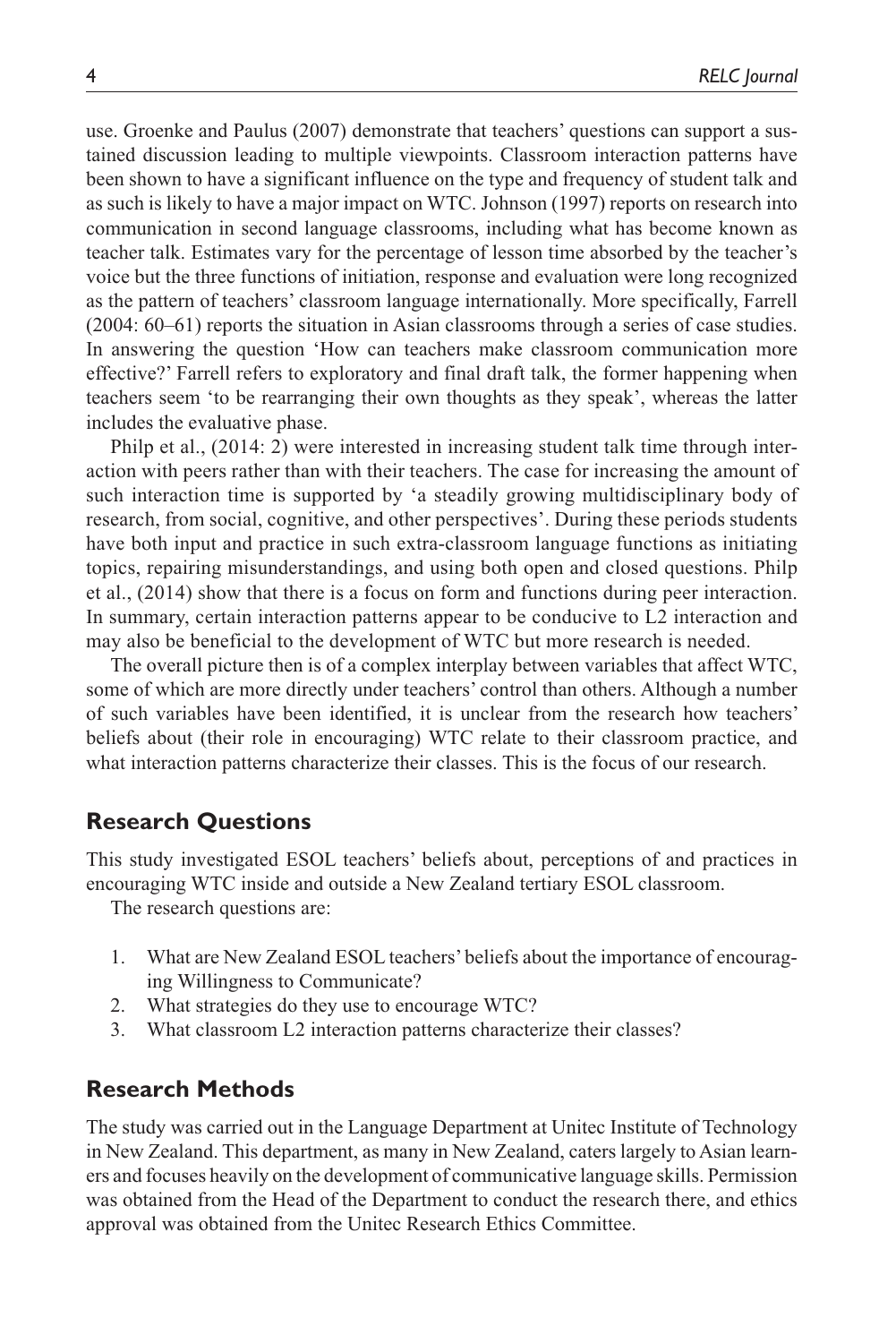use. Groenke and Paulus (2007) demonstrate that teachers' questions can support a sustained discussion leading to multiple viewpoints. Classroom interaction patterns have been shown to have a significant influence on the type and frequency of student talk and as such is likely to have a major impact on WTC. Johnson (1997) reports on research into communication in second language classrooms, including what has become known as teacher talk. Estimates vary for the percentage of lesson time absorbed by the teacher's voice but the three functions of initiation, response and evaluation were long recognized as the pattern of teachers' classroom language internationally. More specifically, Farrell (2004: 60–61) reports the situation in Asian classrooms through a series of case studies. In answering the question 'How can teachers make classroom communication more effective?' Farrell refers to exploratory and final draft talk, the former happening when teachers seem 'to be rearranging their own thoughts as they speak', whereas the latter includes the evaluative phase.

Philp et al., (2014: 2) were interested in increasing student talk time through interaction with peers rather than with their teachers. The case for increasing the amount of such interaction time is supported by 'a steadily growing multidisciplinary body of research, from social, cognitive, and other perspectives'. During these periods students have both input and practice in such extra-classroom language functions as initiating topics, repairing misunderstandings, and using both open and closed questions. Philp et al., (2014) show that there is a focus on form and functions during peer interaction. In summary, certain interaction patterns appear to be conducive to L2 interaction and may also be beneficial to the development of WTC but more research is needed.

The overall picture then is of a complex interplay between variables that affect WTC, some of which are more directly under teachers' control than others. Although a number of such variables have been identified, it is unclear from the research how teachers' beliefs about (their role in encouraging) WTC relate to their classroom practice, and what interaction patterns characterize their classes. This is the focus of our research.

## **Research Questions**

This study investigated ESOL teachers' beliefs about, perceptions of and practices in encouraging WTC inside and outside a New Zealand tertiary ESOL classroom.

The research questions are:

- 1. What are New Zealand ESOL teachers' beliefs about the importance of encouraging Willingness to Communicate?
- 2. What strategies do they use to encourage WTC?
- 3. What classroom L2 interaction patterns characterize their classes?

# **Research Methods**

The study was carried out in the Language Department at Unitec Institute of Technology in New Zealand. This department, as many in New Zealand, caters largely to Asian learners and focuses heavily on the development of communicative language skills. Permission was obtained from the Head of the Department to conduct the research there, and ethics approval was obtained from the Unitec Research Ethics Committee.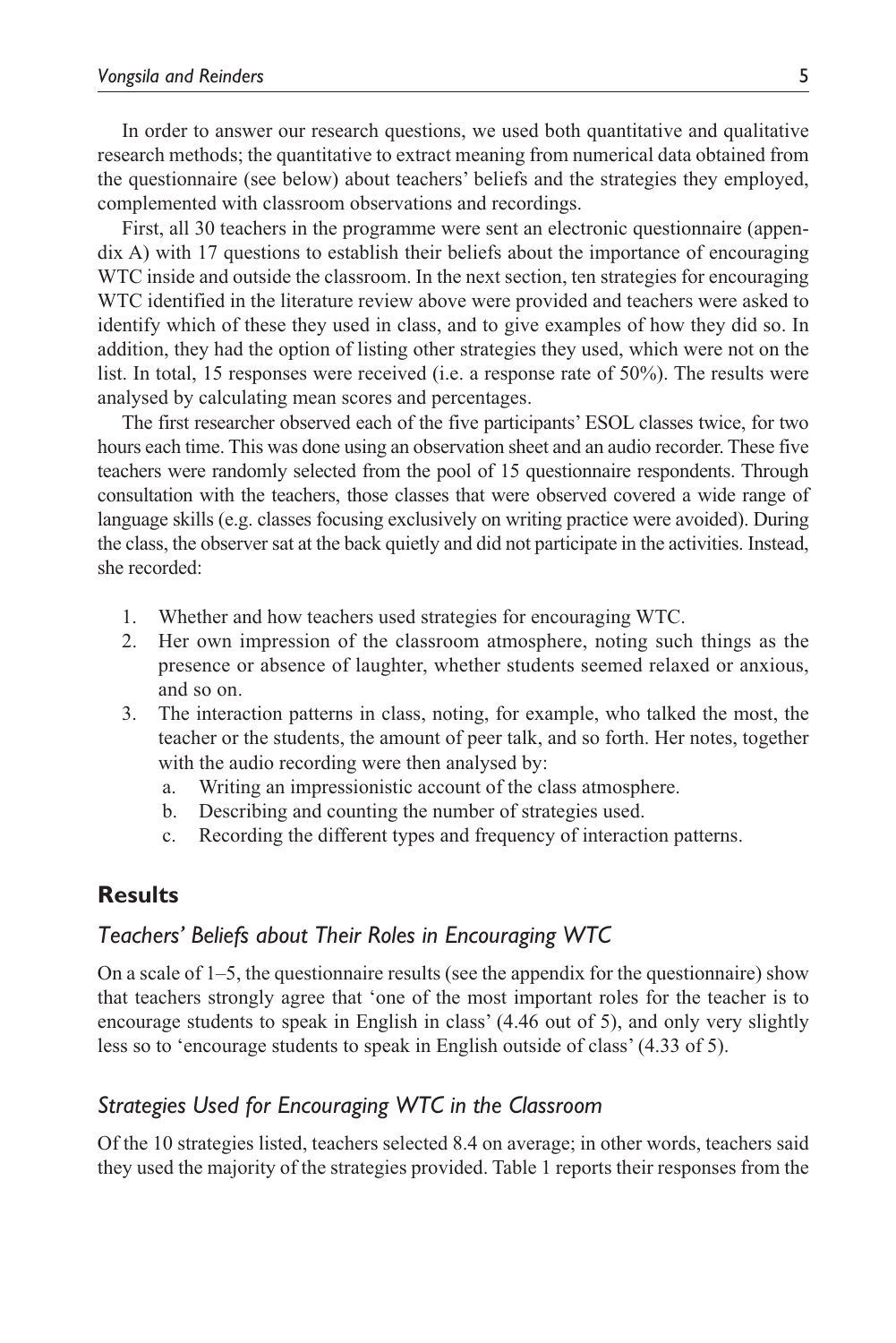In order to answer our research questions, we used both quantitative and qualitative research methods; the quantitative to extract meaning from numerical data obtained from the questionnaire (see below) about teachers' beliefs and the strategies they employed, complemented with classroom observations and recordings.

First, all 30 teachers in the programme were sent an electronic questionnaire (appendix A) with 17 questions to establish their beliefs about the importance of encouraging WTC inside and outside the classroom. In the next section, ten strategies for encouraging WTC identified in the literature review above were provided and teachers were asked to identify which of these they used in class, and to give examples of how they did so. In addition, they had the option of listing other strategies they used, which were not on the list. In total, 15 responses were received (i.e. a response rate of 50%). The results were analysed by calculating mean scores and percentages.

The first researcher observed each of the five participants' ESOL classes twice, for two hours each time. This was done using an observation sheet and an audio recorder. These five teachers were randomly selected from the pool of 15 questionnaire respondents. Through consultation with the teachers, those classes that were observed covered a wide range of language skills (e.g. classes focusing exclusively on writing practice were avoided). During the class, the observer sat at the back quietly and did not participate in the activities. Instead, she recorded:

- 1. Whether and how teachers used strategies for encouraging WTC.
- 2. Her own impression of the classroom atmosphere, noting such things as the presence or absence of laughter, whether students seemed relaxed or anxious, and so on.
- 3. The interaction patterns in class, noting, for example, who talked the most, the teacher or the students, the amount of peer talk, and so forth. Her notes, together with the audio recording were then analysed by:
	- a. Writing an impressionistic account of the class atmosphere.
	- b. Describing and counting the number of strategies used.
	- c. Recording the different types and frequency of interaction patterns.

# **Results**

## *Teachers' Beliefs about Their Roles in Encouraging WTC*

On a scale of 1–5, the questionnaire results (see the appendix for the questionnaire) show that teachers strongly agree that 'one of the most important roles for the teacher is to encourage students to speak in English in class' (4.46 out of 5), and only very slightly less so to 'encourage students to speak in English outside of class' (4.33 of 5).

## *Strategies Used for Encouraging WTC in the Classroom*

Of the 10 strategies listed, teachers selected 8.4 on average; in other words, teachers said they used the majority of the strategies provided. Table 1 reports their responses from the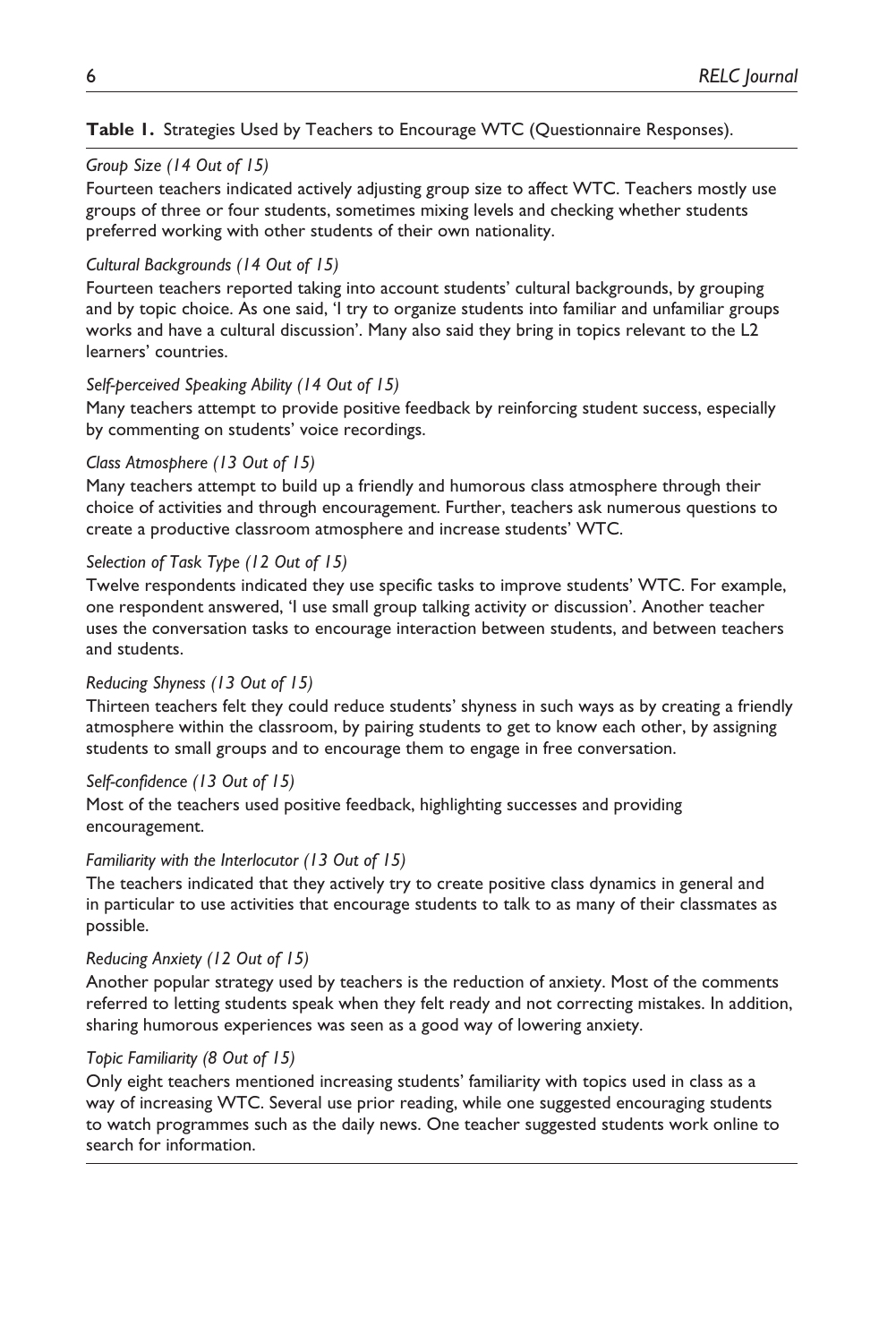## **Table 1.** Strategies Used by Teachers to Encourage WTC (Questionnaire Responses).

#### *Group Size (14 Out of 15)*

Fourteen teachers indicated actively adjusting group size to affect WTC. Teachers mostly use groups of three or four students, sometimes mixing levels and checking whether students preferred working with other students of their own nationality.

## *Cultural Backgrounds (14 Out of 15)*

Fourteen teachers reported taking into account students' cultural backgrounds, by grouping and by topic choice. As one said, 'I try to organize students into familiar and unfamiliar groups works and have a cultural discussion'. Many also said they bring in topics relevant to the L2 learners' countries.

#### *Self-perceived Speaking Ability (14 Out of 15)*

Many teachers attempt to provide positive feedback by reinforcing student success, especially by commenting on students' voice recordings.

## *Class Atmosphere (13 Out of 15)*

Many teachers attempt to build up a friendly and humorous class atmosphere through their choice of activities and through encouragement. Further, teachers ask numerous questions to create a productive classroom atmosphere and increase students' WTC.

## *Selection of Task Type (12 Out of 15)*

Twelve respondents indicated they use specific tasks to improve students' WTC. For example, one respondent answered, 'I use small group talking activity or discussion'. Another teacher uses the conversation tasks to encourage interaction between students, and between teachers and students.

#### *Reducing Shyness (13 Out of 15)*

Thirteen teachers felt they could reduce students' shyness in such ways as by creating a friendly atmosphere within the classroom, by pairing students to get to know each other, by assigning students to small groups and to encourage them to engage in free conversation.

## *Self-confidence (13 Out of 15)*

Most of the teachers used positive feedback, highlighting successes and providing encouragement.

#### *Familiarity with the Interlocutor (13 Out of 15)*

The teachers indicated that they actively try to create positive class dynamics in general and in particular to use activities that encourage students to talk to as many of their classmates as possible.

#### *Reducing Anxiety (12 Out of 15)*

Another popular strategy used by teachers is the reduction of anxiety. Most of the comments referred to letting students speak when they felt ready and not correcting mistakes. In addition, sharing humorous experiences was seen as a good way of lowering anxiety.

#### *Topic Familiarity (8 Out of 15)*

Only eight teachers mentioned increasing students' familiarity with topics used in class as a way of increasing WTC. Several use prior reading, while one suggested encouraging students to watch programmes such as the daily news. One teacher suggested students work online to search for information.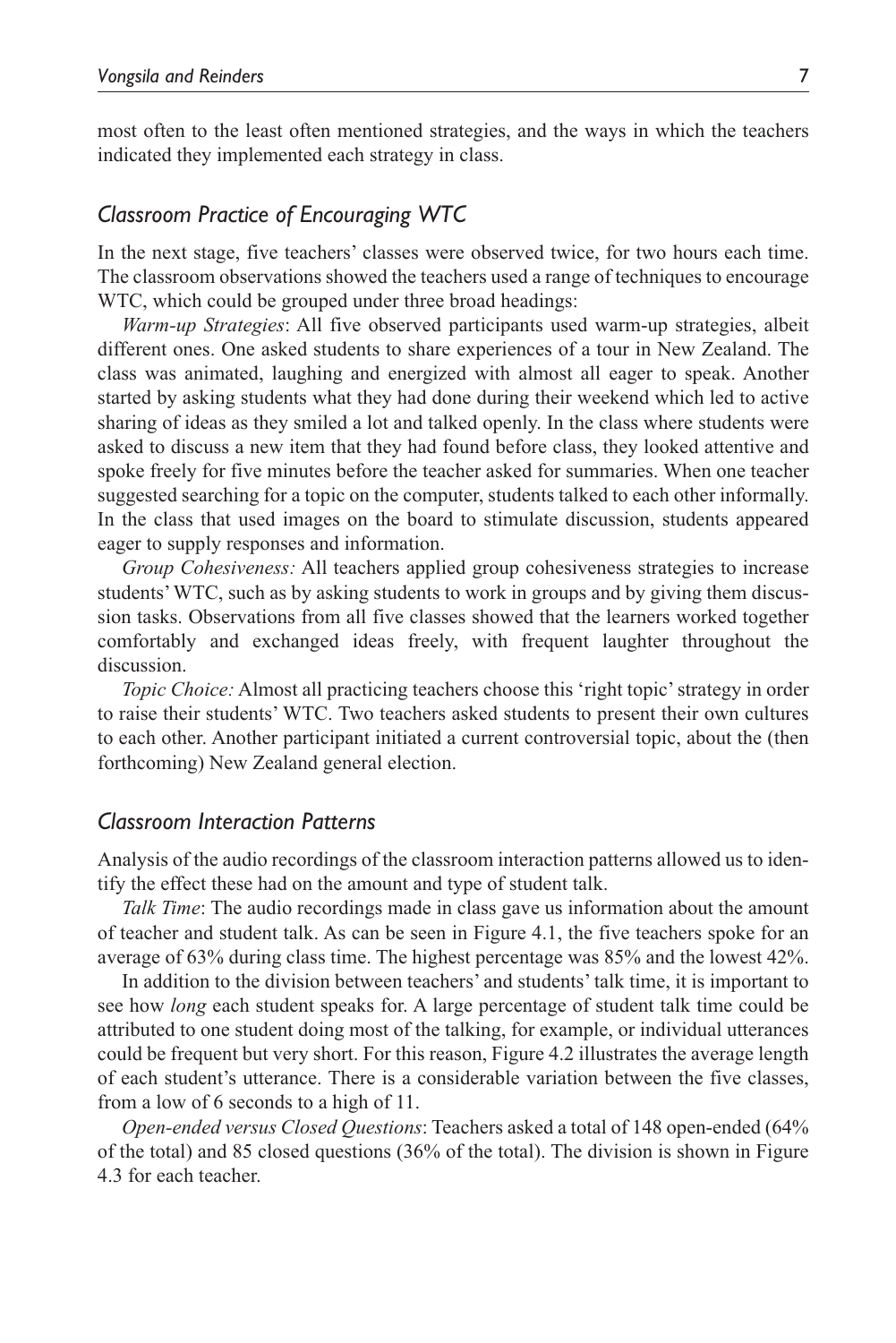most often to the least often mentioned strategies, and the ways in which the teachers indicated they implemented each strategy in class.

#### *Classroom Practice of Encouraging WTC*

In the next stage, five teachers' classes were observed twice, for two hours each time. The classroom observations showed the teachers used a range of techniques to encourage WTC, which could be grouped under three broad headings:

*Warm-up Strategies*: All five observed participants used warm-up strategies, albeit different ones. One asked students to share experiences of a tour in New Zealand. The class was animated, laughing and energized with almost all eager to speak. Another started by asking students what they had done during their weekend which led to active sharing of ideas as they smiled a lot and talked openly. In the class where students were asked to discuss a new item that they had found before class, they looked attentive and spoke freely for five minutes before the teacher asked for summaries. When one teacher suggested searching for a topic on the computer, students talked to each other informally. In the class that used images on the board to stimulate discussion, students appeared eager to supply responses and information.

*Group Cohesiveness:* All teachers applied group cohesiveness strategies to increase students' WTC, such as by asking students to work in groups and by giving them discussion tasks. Observations from all five classes showed that the learners worked together comfortably and exchanged ideas freely, with frequent laughter throughout the discussion.

*Topic Choice:* Almost all practicing teachers choose this 'right topic' strategy in order to raise their students' WTC. Two teachers asked students to present their own cultures to each other. Another participant initiated a current controversial topic, about the (then forthcoming) New Zealand general election.

## *Classroom Interaction Patterns*

Analysis of the audio recordings of the classroom interaction patterns allowed us to identify the effect these had on the amount and type of student talk.

*Talk Time*: The audio recordings made in class gave us information about the amount of teacher and student talk. As can be seen in Figure 4.1, the five teachers spoke for an average of 63% during class time. The highest percentage was 85% and the lowest 42%.

In addition to the division between teachers' and students' talk time, it is important to see how *long* each student speaks for. A large percentage of student talk time could be attributed to one student doing most of the talking, for example, or individual utterances could be frequent but very short. For this reason, Figure 4.2 illustrates the average length of each student's utterance. There is a considerable variation between the five classes, from a low of 6 seconds to a high of 11.

*Open-ended versus Closed Questions*: Teachers asked a total of 148 open-ended (64% of the total) and 85 closed questions (36% of the total). The division is shown in Figure 4.3 for each teacher.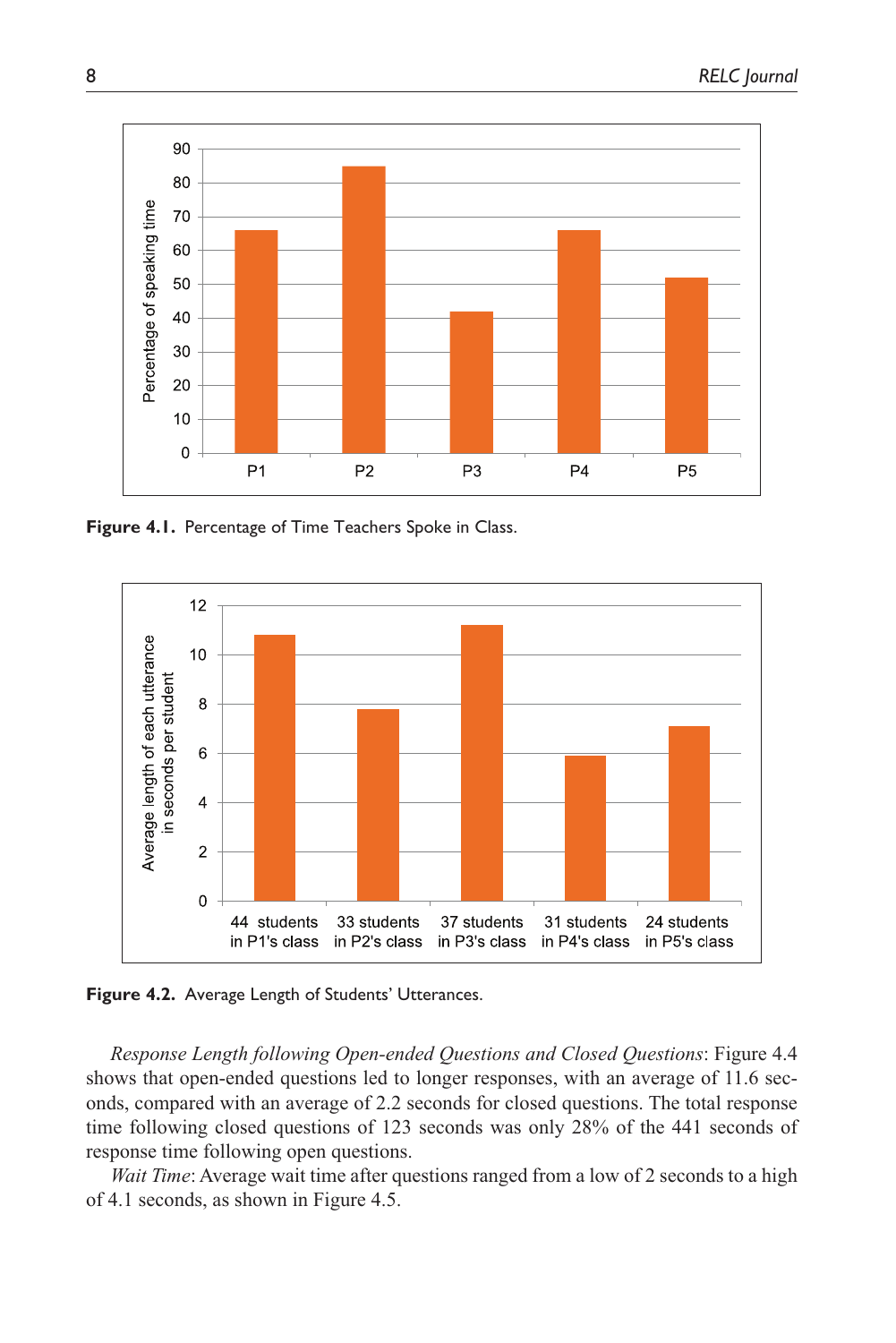

**Figure 4.1.** Percentage of Time Teachers Spoke in Class.



**Figure 4.2.** Average Length of Students' Utterances.

*Response Length following Open-ended Questions and Closed Questions*: Figure 4.4 shows that open-ended questions led to longer responses, with an average of 11.6 seconds, compared with an average of 2.2 seconds for closed questions. The total response time following closed questions of 123 seconds was only 28% of the 441 seconds of response time following open questions.

*Wait Time*: Average wait time after questions ranged from a low of 2 seconds to a high of 4.1 seconds, as shown in Figure 4.5.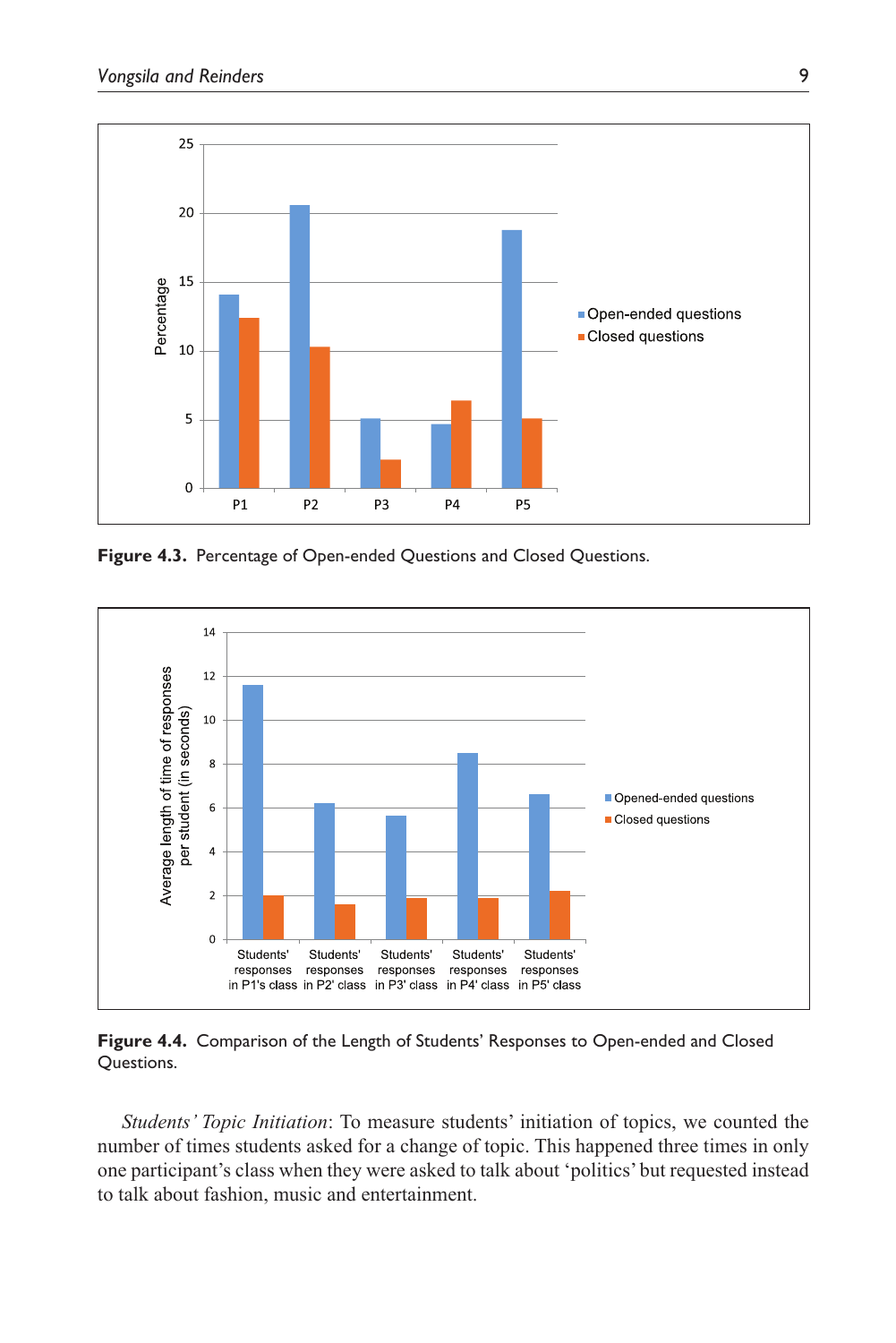

**Figure 4.3.** Percentage of Open-ended Questions and Closed Questions.



**Figure 4.4.** Comparison of the Length of Students' Responses to Open-ended and Closed Questions.

*Students' Topic Initiation*: To measure students' initiation of topics, we counted the number of times students asked for a change of topic. This happened three times in only one participant's class when they were asked to talk about 'politics' but requested instead to talk about fashion, music and entertainment.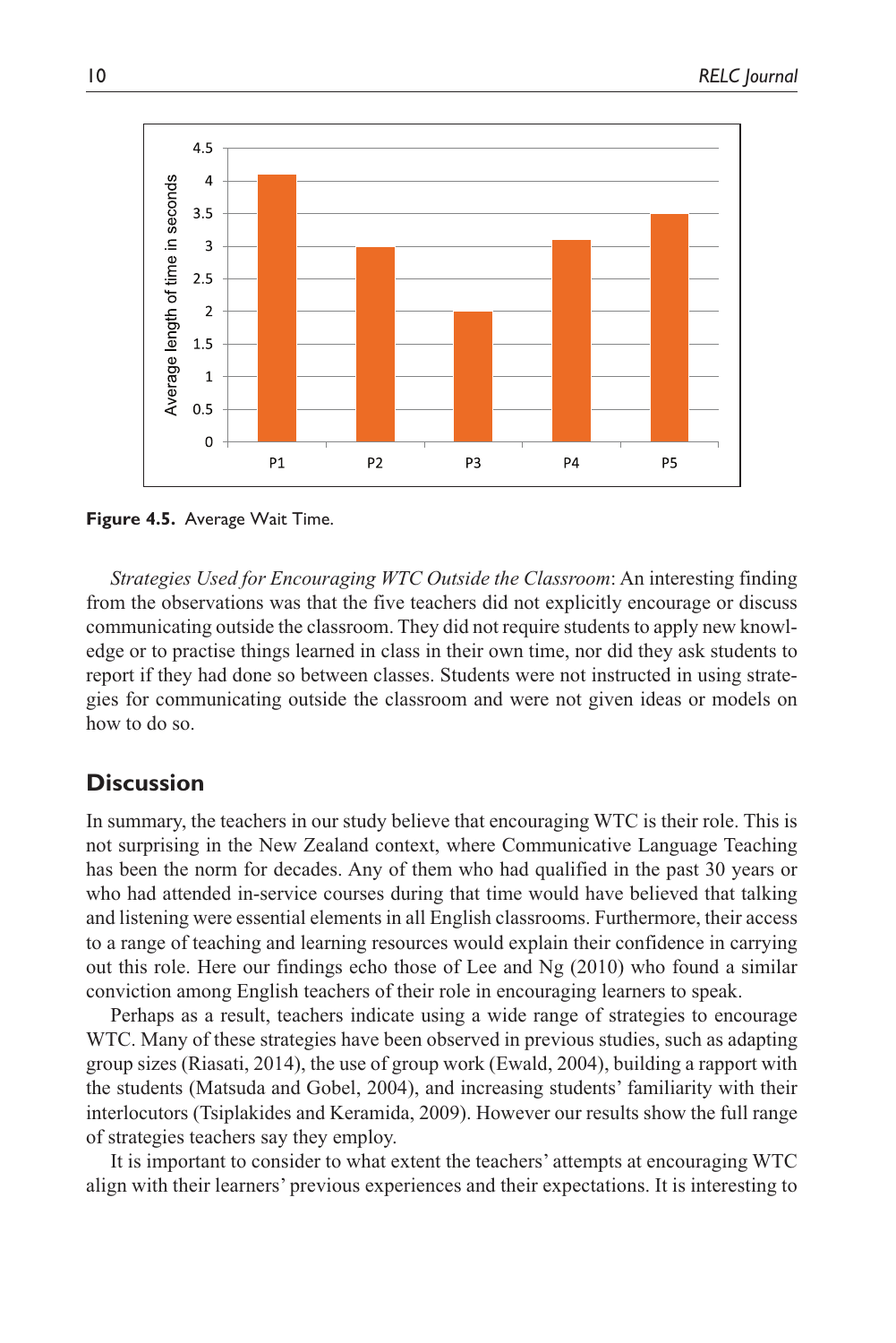

**Figure 4.5.** Average Wait Time.

*Strategies Used for Encouraging WTC Outside the Classroom*: An interesting finding from the observations was that the five teachers did not explicitly encourage or discuss communicating outside the classroom. They did not require students to apply new knowledge or to practise things learned in class in their own time, nor did they ask students to report if they had done so between classes. Students were not instructed in using strategies for communicating outside the classroom and were not given ideas or models on how to do so.

# **Discussion**

In summary, the teachers in our study believe that encouraging WTC is their role. This is not surprising in the New Zealand context, where Communicative Language Teaching has been the norm for decades. Any of them who had qualified in the past 30 years or who had attended in-service courses during that time would have believed that talking and listening were essential elements in all English classrooms. Furthermore, their access to a range of teaching and learning resources would explain their confidence in carrying out this role. Here our findings echo those of Lee and Ng (2010) who found a similar conviction among English teachers of their role in encouraging learners to speak.

Perhaps as a result, teachers indicate using a wide range of strategies to encourage WTC. Many of these strategies have been observed in previous studies, such as adapting group sizes (Riasati, 2014), the use of group work (Ewald, 2004), building a rapport with the students (Matsuda and Gobel, 2004), and increasing students' familiarity with their interlocutors (Tsiplakides and Keramida, 2009). However our results show the full range of strategies teachers say they employ.

It is important to consider to what extent the teachers' attempts at encouraging WTC align with their learners' previous experiences and their expectations. It is interesting to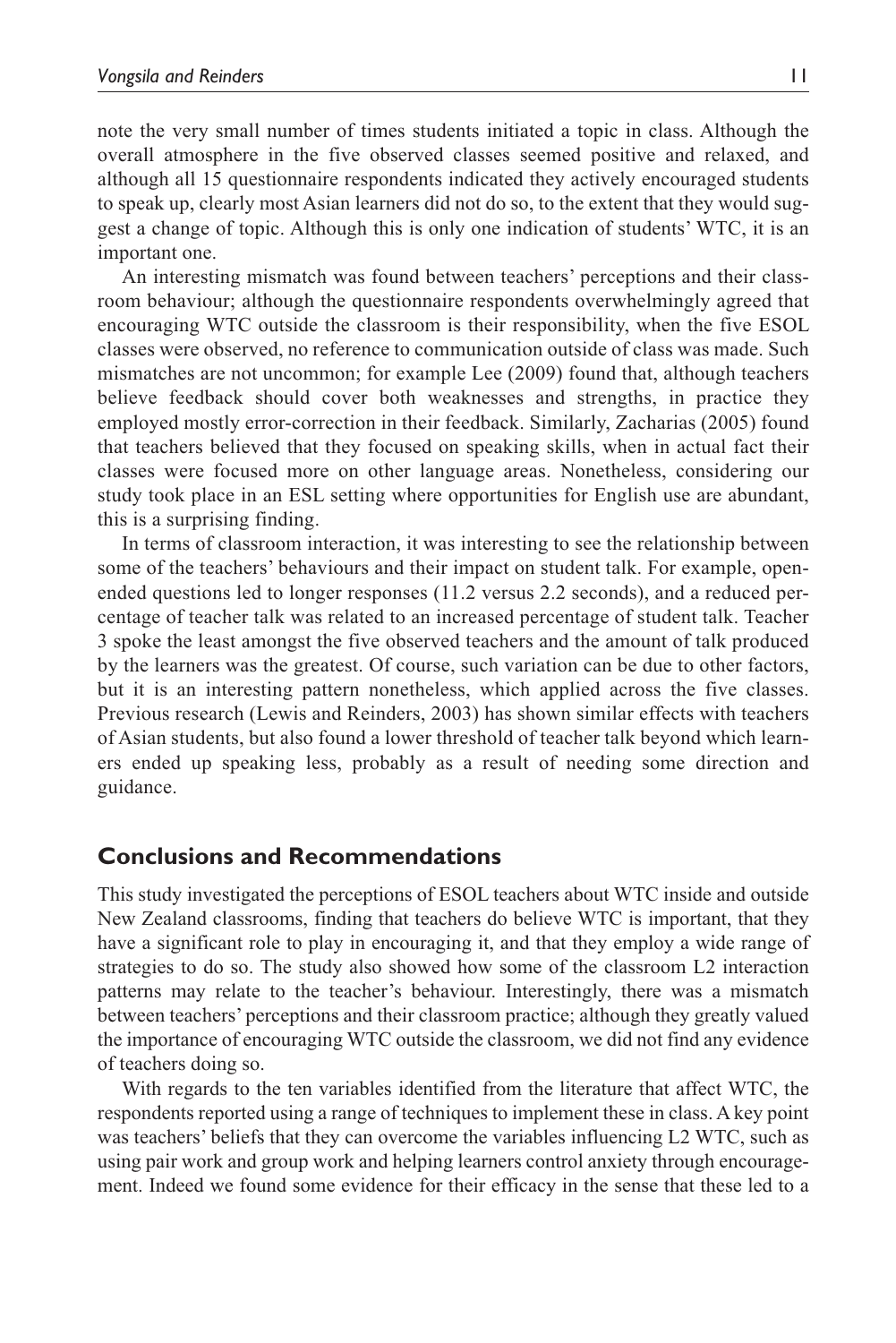note the very small number of times students initiated a topic in class. Although the overall atmosphere in the five observed classes seemed positive and relaxed, and although all 15 questionnaire respondents indicated they actively encouraged students to speak up, clearly most Asian learners did not do so, to the extent that they would suggest a change of topic. Although this is only one indication of students' WTC, it is an important one.

An interesting mismatch was found between teachers' perceptions and their classroom behaviour; although the questionnaire respondents overwhelmingly agreed that encouraging WTC outside the classroom is their responsibility, when the five ESOL classes were observed, no reference to communication outside of class was made. Such mismatches are not uncommon; for example Lee (2009) found that, although teachers believe feedback should cover both weaknesses and strengths, in practice they employed mostly error-correction in their feedback. Similarly, Zacharias (2005) found that teachers believed that they focused on speaking skills, when in actual fact their classes were focused more on other language areas. Nonetheless, considering our study took place in an ESL setting where opportunities for English use are abundant, this is a surprising finding.

In terms of classroom interaction, it was interesting to see the relationship between some of the teachers' behaviours and their impact on student talk. For example, openended questions led to longer responses (11.2 versus 2.2 seconds), and a reduced percentage of teacher talk was related to an increased percentage of student talk. Teacher 3 spoke the least amongst the five observed teachers and the amount of talk produced by the learners was the greatest. Of course, such variation can be due to other factors, but it is an interesting pattern nonetheless, which applied across the five classes. Previous research (Lewis and Reinders, 2003) has shown similar effects with teachers of Asian students, but also found a lower threshold of teacher talk beyond which learners ended up speaking less, probably as a result of needing some direction and guidance.

# **Conclusions and Recommendations**

This study investigated the perceptions of ESOL teachers about WTC inside and outside New Zealand classrooms, finding that teachers do believe WTC is important, that they have a significant role to play in encouraging it, and that they employ a wide range of strategies to do so. The study also showed how some of the classroom L2 interaction patterns may relate to the teacher's behaviour. Interestingly, there was a mismatch between teachers' perceptions and their classroom practice; although they greatly valued the importance of encouraging WTC outside the classroom, we did not find any evidence of teachers doing so.

With regards to the ten variables identified from the literature that affect WTC, the respondents reported using a range of techniques to implement these in class. A key point was teachers' beliefs that they can overcome the variables influencing L2 WTC, such as using pair work and group work and helping learners control anxiety through encouragement. Indeed we found some evidence for their efficacy in the sense that these led to a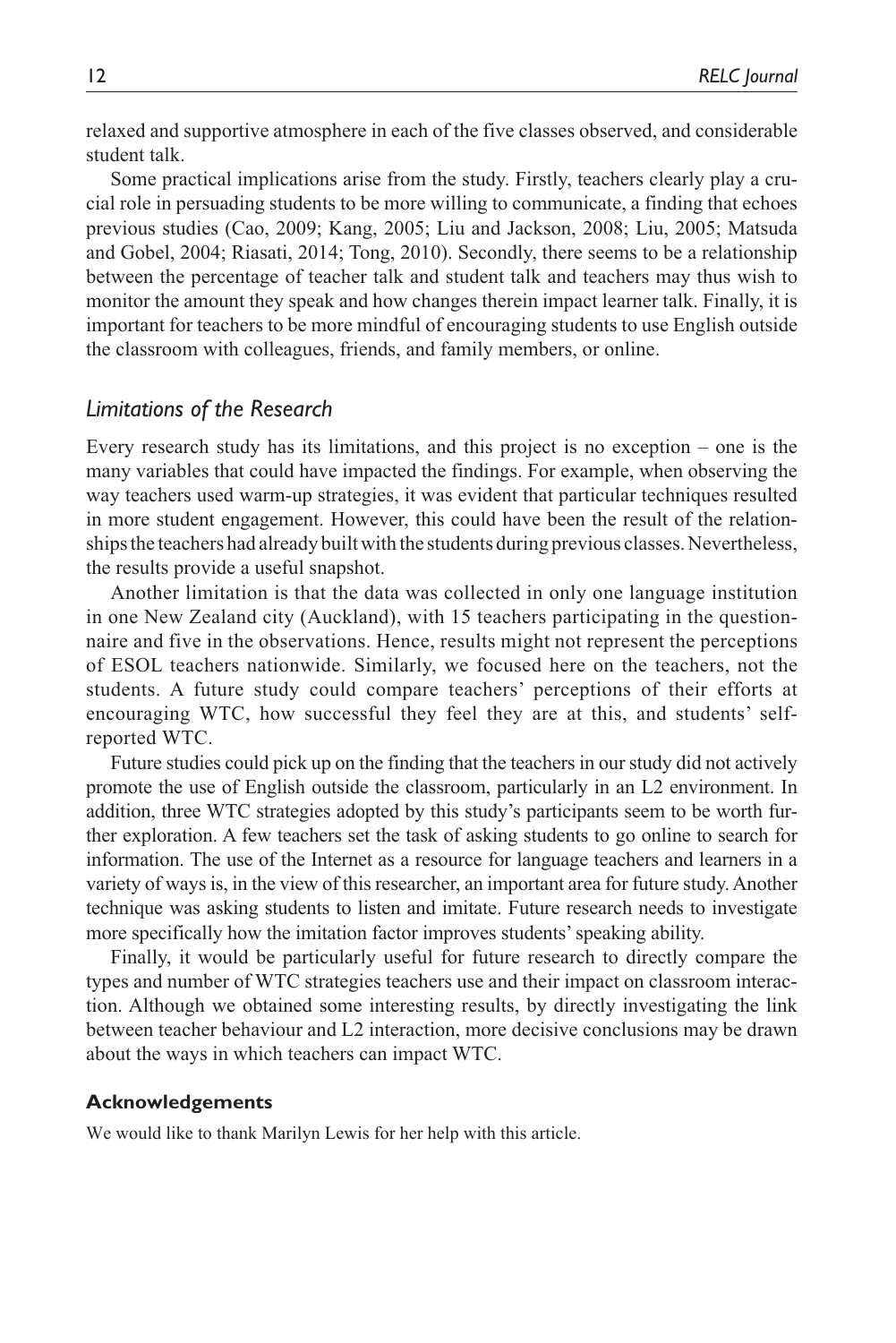relaxed and supportive atmosphere in each of the five classes observed, and considerable student talk.

Some practical implications arise from the study. Firstly, teachers clearly play a crucial role in persuading students to be more willing to communicate, a finding that echoes previous studies (Cao, 2009; Kang, 2005; Liu and Jackson, 2008; Liu, 2005; Matsuda and Gobel, 2004; Riasati, 2014; Tong, 2010). Secondly, there seems to be a relationship between the percentage of teacher talk and student talk and teachers may thus wish to monitor the amount they speak and how changes therein impact learner talk. Finally, it is important for teachers to be more mindful of encouraging students to use English outside the classroom with colleagues, friends, and family members, or online.

## *Limitations of the Research*

Every research study has its limitations, and this project is no exception – one is the many variables that could have impacted the findings. For example, when observing the way teachers used warm-up strategies, it was evident that particular techniques resulted in more student engagement. However, this could have been the result of the relationships the teachers had already built with the students during previous classes. Nevertheless, the results provide a useful snapshot.

Another limitation is that the data was collected in only one language institution in one New Zealand city (Auckland), with 15 teachers participating in the questionnaire and five in the observations. Hence, results might not represent the perceptions of ESOL teachers nationwide. Similarly, we focused here on the teachers, not the students. A future study could compare teachers' perceptions of their efforts at encouraging WTC, how successful they feel they are at this, and students' selfreported WTC.

Future studies could pick up on the finding that the teachers in our study did not actively promote the use of English outside the classroom, particularly in an L2 environment. In addition, three WTC strategies adopted by this study's participants seem to be worth further exploration. A few teachers set the task of asking students to go online to search for information. The use of the Internet as a resource for language teachers and learners in a variety of ways is, in the view of this researcher, an important area for future study. Another technique was asking students to listen and imitate. Future research needs to investigate more specifically how the imitation factor improves students' speaking ability.

Finally, it would be particularly useful for future research to directly compare the types and number of WTC strategies teachers use and their impact on classroom interaction. Although we obtained some interesting results, by directly investigating the link between teacher behaviour and L2 interaction, more decisive conclusions may be drawn about the ways in which teachers can impact WTC.

#### **Acknowledgements**

We would like to thank Marilyn Lewis for her help with this article.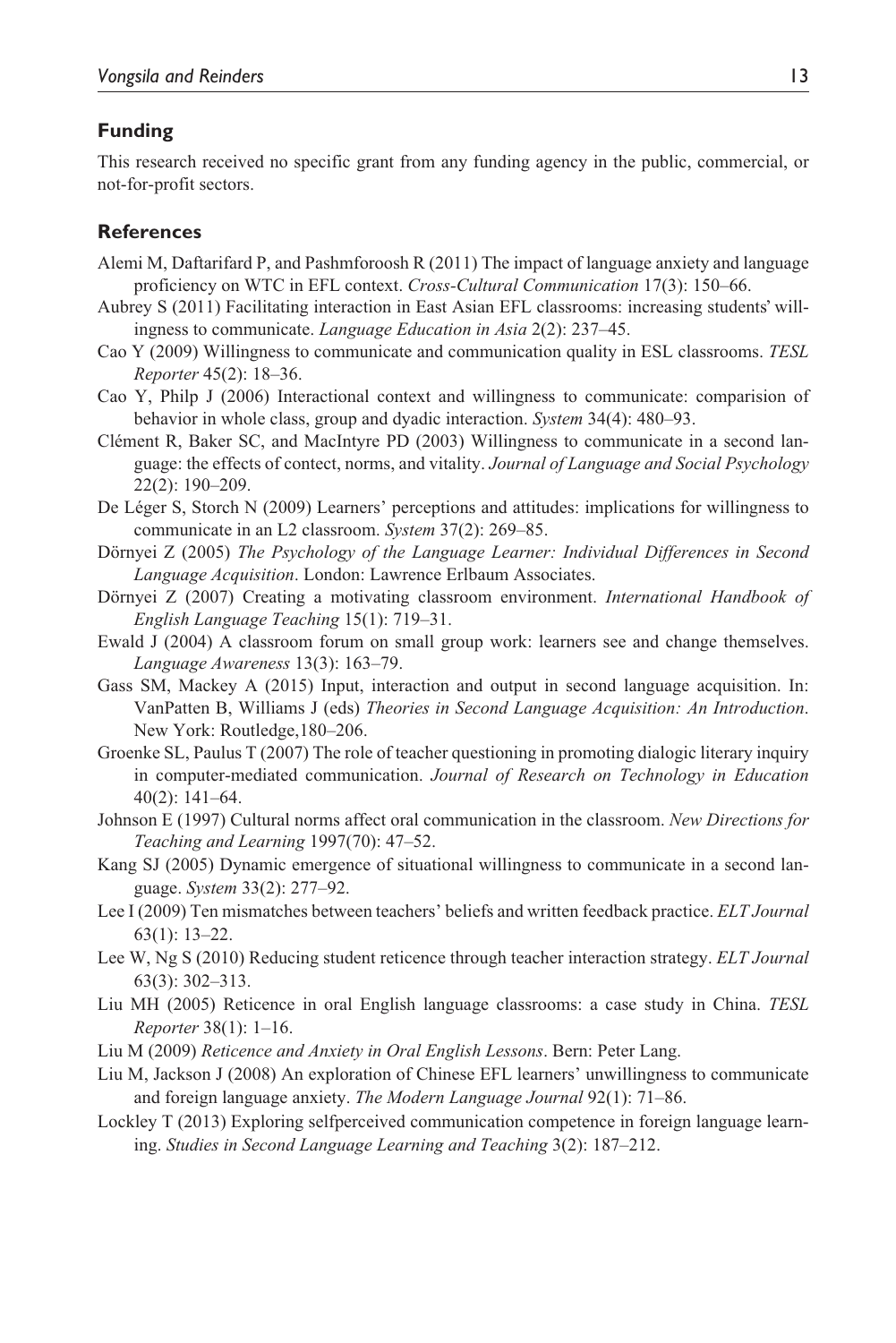#### **Funding**

This research received no specific grant from any funding agency in the public, commercial, or not-for-profit sectors.

#### **References**

- Alemi M, Daftarifard P, and Pashmforoosh R (2011) The impact of language anxiety and language proficiency on WTC in EFL context. *Cross-Cultural Communication* 17(3): 150–66.
- Aubrey S (2011) Facilitating interaction in East Asian EFL classrooms: increasing students' willingness to communicate. *Language Education in Asia* 2(2): 237–45.
- Cao Y (2009) Willingness to communicate and communication quality in ESL classrooms. *TESL Reporter* 45(2): 18–36.
- Cao Y, Philp J (2006) Interactional context and willingness to communicate: comparision of behavior in whole class, group and dyadic interaction. *System* 34(4): 480–93.
- Clément R, Baker SC, and MacIntyre PD (2003) Willingness to communicate in a second language: the effects of contect, norms, and vitality. *Journal of Language and Social Psychology* 22(2): 190–209.
- De Léger S, Storch N (2009) Learners' perceptions and attitudes: implications for willingness to communicate in an L2 classroom. *System* 37(2): 269–85.
- Dörnyei Z (2005) *The Psychology of the Language Learner: Individual Differences in Second Language Acquisition*. London: Lawrence Erlbaum Associates.
- Dörnyei Z (2007) Creating a motivating classroom environment. *International Handbook of English Language Teaching* 15(1): 719–31.
- Ewald J (2004) A classroom forum on small group work: learners see and change themselves. *Language Awareness* 13(3): 163–79.
- Gass SM, Mackey A (2015) Input, interaction and output in second language acquisition. In: VanPatten B, Williams J (eds) *Theories in Second Language Acquisition: An Introduction*. New York: Routledge,180–206.
- Groenke SL, Paulus T (2007) The role of teacher questioning in promoting dialogic literary inquiry in computer-mediated communication. *Journal of Research on Technology in Education* 40(2): 141–64.
- Johnson E (1997) Cultural norms affect oral communication in the classroom. *New Directions for Teaching and Learning* 1997(70): 47–52.
- Kang SJ (2005) Dynamic emergence of situational willingness to communicate in a second language. *System* 33(2): 277–92.
- Lee I (2009) Ten mismatches between teachers' beliefs and written feedback practice. *ELT Journal* 63(1): 13–22.
- Lee W, Ng S (2010) Reducing student reticence through teacher interaction strategy. *ELT Journal* 63(3): 302–313.
- Liu MH (2005) Reticence in oral English language classrooms: a case study in China. *TESL Reporter* 38(1): 1–16.
- Liu M (2009) *Reticence and Anxiety in Oral English Lessons*. Bern: Peter Lang.
- Liu M, Jackson J (2008) An exploration of Chinese EFL learners' unwillingness to communicate and foreign language anxiety. *The Modern Language Journal* 92(1): 71–86.
- Lockley T (2013) Exploring selfperceived communication competence in foreign language learning. *Studies in Second Language Learning and Teaching* 3(2): 187–212.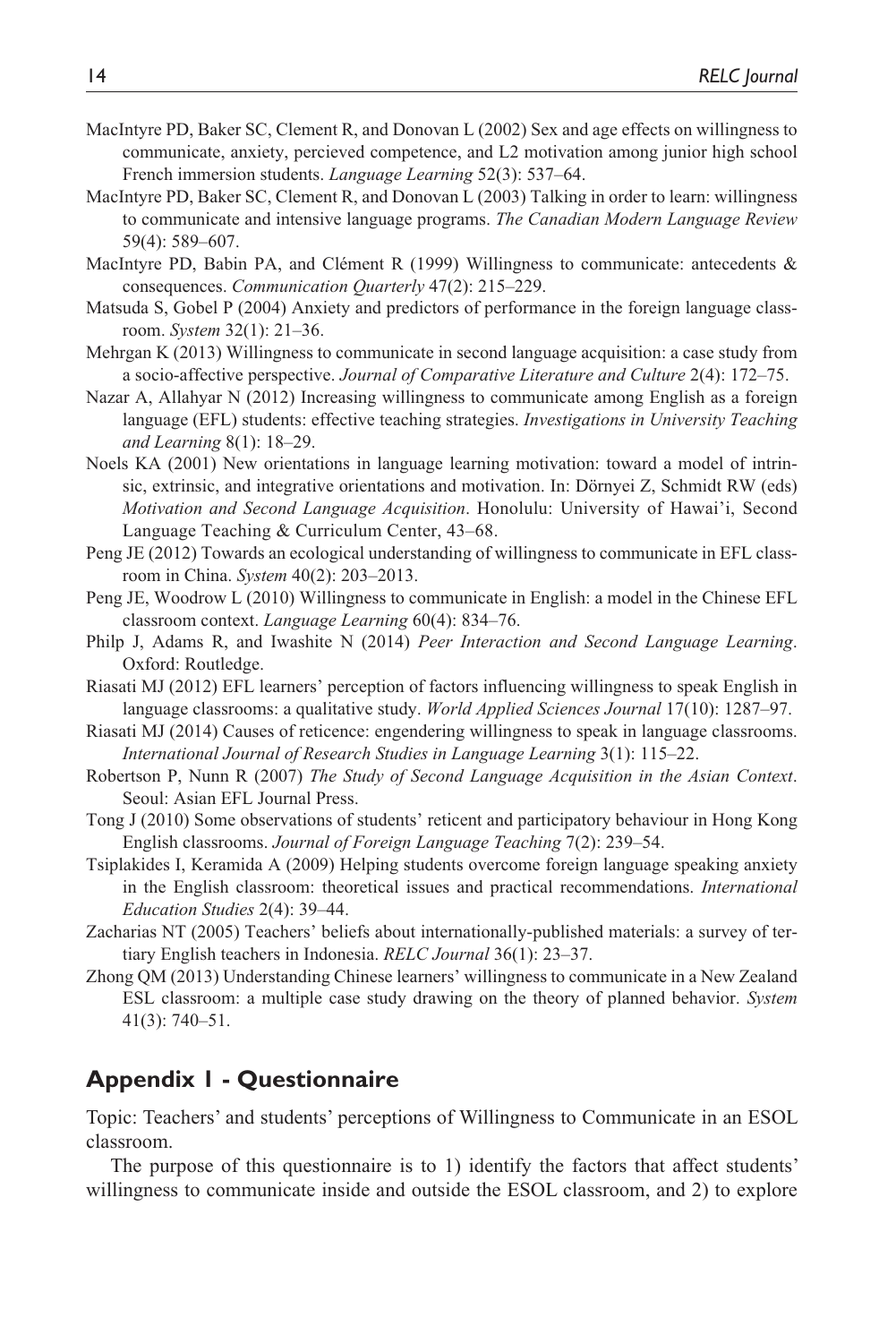- MacIntyre PD, Baker SC, Clement R, and Donovan L (2002) Sex and age effects on willingness to communicate, anxiety, percieved competence, and L2 motivation among junior high school French immersion students. *Language Learning* 52(3): 537–64.
- MacIntyre PD, Baker SC, Clement R, and Donovan L (2003) Talking in order to learn: willingness to communicate and intensive language programs. *The Canadian Modern Language Review* 59(4): 589–607.
- MacIntyre PD, Babin PA, and Clément R (1999) Willingness to communicate: antecedents  $\&$ consequences. *Communication Quarterly* 47(2): 215–229.
- Matsuda S, Gobel P (2004) Anxiety and predictors of performance in the foreign language classroom. *System* 32(1): 21–36.
- Mehrgan K (2013) Willingness to communicate in second language acquisition: a case study from a socio-affective perspective. *Journal of Comparative Literature and Culture* 2(4): 172–75.
- Nazar A, Allahyar N (2012) Increasing willingness to communicate among English as a foreign language (EFL) students: effective teaching strategies. *Investigations in University Teaching and Learning* 8(1): 18–29.
- Noels KA (2001) New orientations in language learning motivation: toward a model of intrinsic, extrinsic, and integrative orientations and motivation. In: Dörnyei Z, Schmidt RW (eds) *Motivation and Second Language Acquisition*. Honolulu: University of Hawai'i, Second Language Teaching & Curriculum Center, 43–68.
- Peng JE (2012) Towards an ecological understanding of willingness to communicate in EFL classroom in China. *System* 40(2): 203–2013.
- Peng JE, Woodrow L (2010) Willingness to communicate in English: a model in the Chinese EFL classroom context. *Language Learning* 60(4): 834–76.
- Philp J, Adams R, and Iwashite N (2014) *Peer Interaction and Second Language Learning*. Oxford: Routledge.
- Riasati MJ (2012) EFL learners' perception of factors influencing willingness to speak English in language classrooms: a qualitative study. *World Applied Sciences Journal* 17(10): 1287–97.
- Riasati MJ (2014) Causes of reticence: engendering willingness to speak in language classrooms. *International Journal of Research Studies in Language Learning* 3(1): 115–22.
- Robertson P, Nunn R (2007) *The Study of Second Language Acquisition in the Asian Context*. Seoul: Asian EFL Journal Press.
- Tong J (2010) Some observations of students' reticent and participatory behaviour in Hong Kong English classrooms. *Journal of Foreign Language Teaching* 7(2): 239–54.
- Tsiplakides I, Keramida A (2009) Helping students overcome foreign language speaking anxiety in the English classroom: theoretical issues and practical recommendations. *International Education Studies* 2(4): 39–44.
- Zacharias NT (2005) Teachers' beliefs about internationally-published materials: a survey of tertiary English teachers in Indonesia. *RELC Journal* 36(1): 23–37.
- Zhong QM (2013) Understanding Chinese learners' willingness to communicate in a New Zealand ESL classroom: a multiple case study drawing on the theory of planned behavior. *System* 41(3): 740–51.

# **Appendix 1 - Questionnaire**

Topic: Teachers' and students' perceptions of Willingness to Communicate in an ESOL classroom.

The purpose of this questionnaire is to 1) identify the factors that affect students' willingness to communicate inside and outside the ESOL classroom, and 2) to explore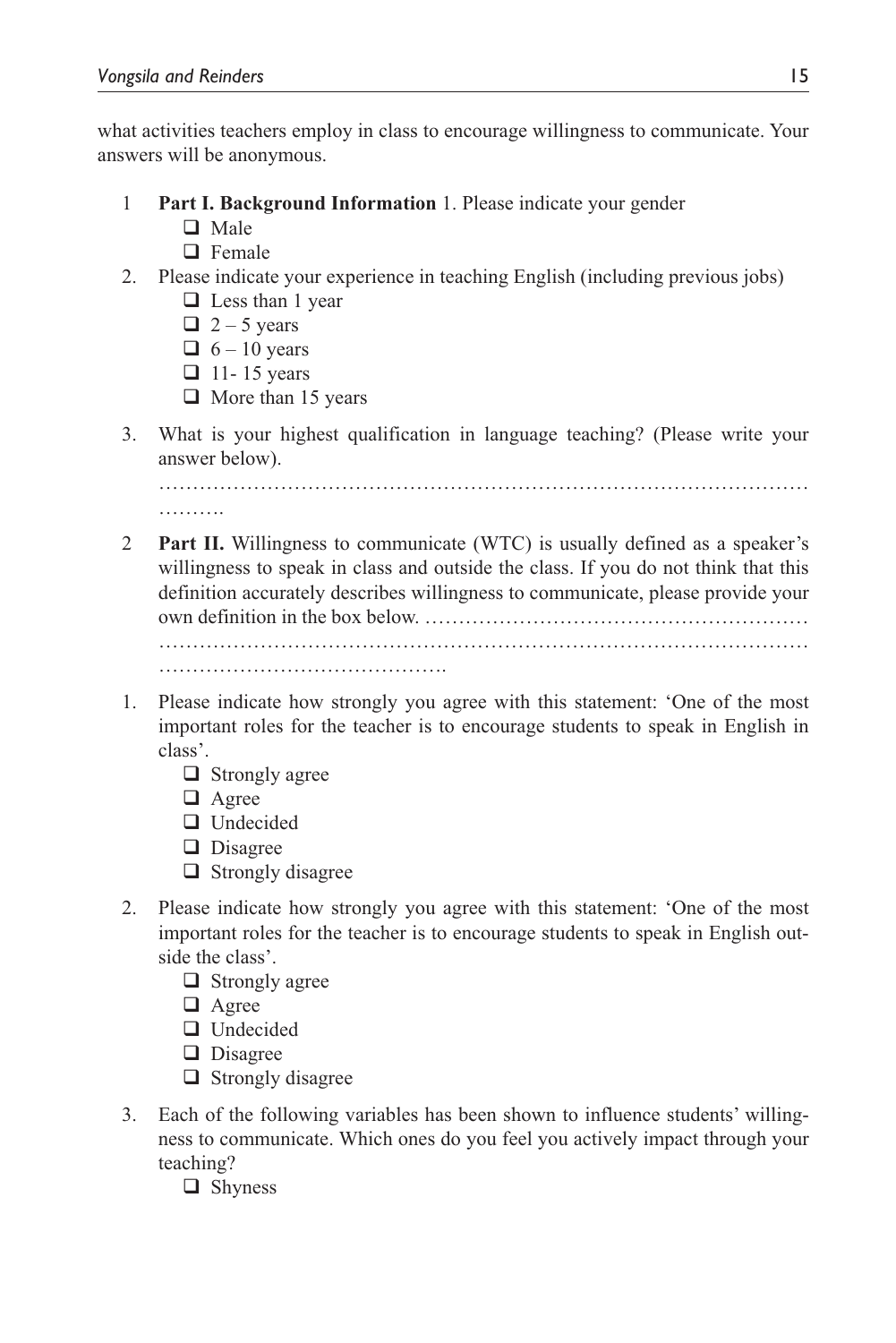what activities teachers employ in class to encourage willingness to communicate. Your answers will be anonymous.

- 1 **Part I. Background Information** 1. Please indicate your gender
	- $\Box$  Male
	- **Q** Female
- 2. Please indicate your experience in teaching English (including previous jobs)
	- □ Less than 1 year
	- $\Box$  2 5 years
	- $\Box$  6 10 years
	- $\Box$  11-15 years
	- $\Box$  More than 15 years
- 3. What is your highest qualification in language teaching? (Please write your answer below).

……………………………………………………………………………………

……….

2 **Part II.** Willingness to communicate (WTC) is usually defined as a speaker's willingness to speak in class and outside the class. If you do not think that this definition accurately describes willingness to communicate, please provide your own definition in the box below. ………………………………………………… ……………………………………………………………………………………

- 1. Please indicate how strongly you agree with this statement: 'One of the most important roles for the teacher is to encourage students to speak in English in class'.
	- $\Box$  Strongly agree
	- **Q** Agree
	- **Undecided**
	- Disagree
	- $\Box$  Strongly disagree
- 2. Please indicate how strongly you agree with this statement: 'One of the most important roles for the teacher is to encourage students to speak in English outside the class'.
	- $\Box$  Strongly agree
	- **Q** Agree
	- **Undecided**
	- **D** Disagree
	- $\Box$  Strongly disagree
- 3. Each of the following variables has been shown to influence students' willingness to communicate. Which ones do you feel you actively impact through your teaching?

□ Shyness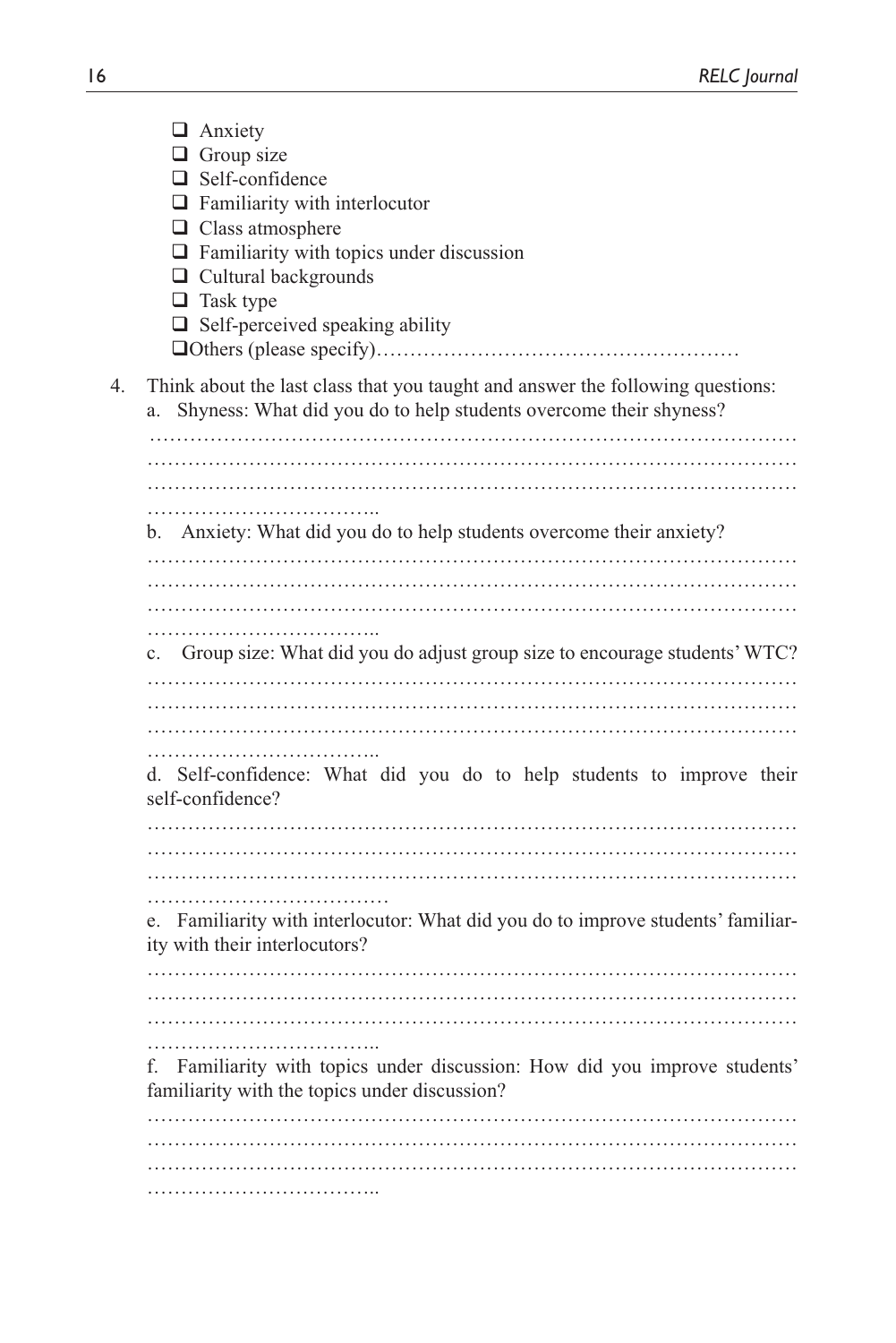|    | $\Box$ Anxiety                                                                                                                                            |
|----|-----------------------------------------------------------------------------------------------------------------------------------------------------------|
|    | $\Box$ Group size                                                                                                                                         |
|    | $\Box$ Self-confidence                                                                                                                                    |
|    | $\Box$ Familiarity with interlocutor                                                                                                                      |
|    | $\Box$ Class atmosphere                                                                                                                                   |
|    | $\Box$ Familiarity with topics under discussion                                                                                                           |
|    | $\Box$ Cultural backgrounds                                                                                                                               |
|    | $\Box$ Task type                                                                                                                                          |
|    | $\Box$ Self-perceived speaking ability                                                                                                                    |
|    |                                                                                                                                                           |
| 4. | Think about the last class that you taught and answer the following questions:<br>Shyness: What did you do to help students overcome their shyness?<br>a. |
|    |                                                                                                                                                           |
|    |                                                                                                                                                           |
|    |                                                                                                                                                           |
|    | Anxiety: What did you do to help students overcome their anxiety?<br>b.                                                                                   |
|    |                                                                                                                                                           |
|    |                                                                                                                                                           |
|    |                                                                                                                                                           |
|    |                                                                                                                                                           |
|    | Group size: What did you do adjust group size to encourage students' WTC?<br>c.                                                                           |
|    |                                                                                                                                                           |
|    |                                                                                                                                                           |
|    |                                                                                                                                                           |
|    | d. Self-confidence: What did you do to help students to improve their<br>self-confidence?                                                                 |
|    |                                                                                                                                                           |
|    |                                                                                                                                                           |
|    |                                                                                                                                                           |
|    | e. Familiarity with interlocutor: What did you do to improve students' familiar-<br>ity with their interlocutors?                                         |
|    |                                                                                                                                                           |
|    |                                                                                                                                                           |
|    |                                                                                                                                                           |
|    | Familiarity with topics under discussion: How did you improve students'<br>f.<br>familiarity with the topics under discussion?                            |
|    |                                                                                                                                                           |
|    |                                                                                                                                                           |
|    |                                                                                                                                                           |
|    |                                                                                                                                                           |